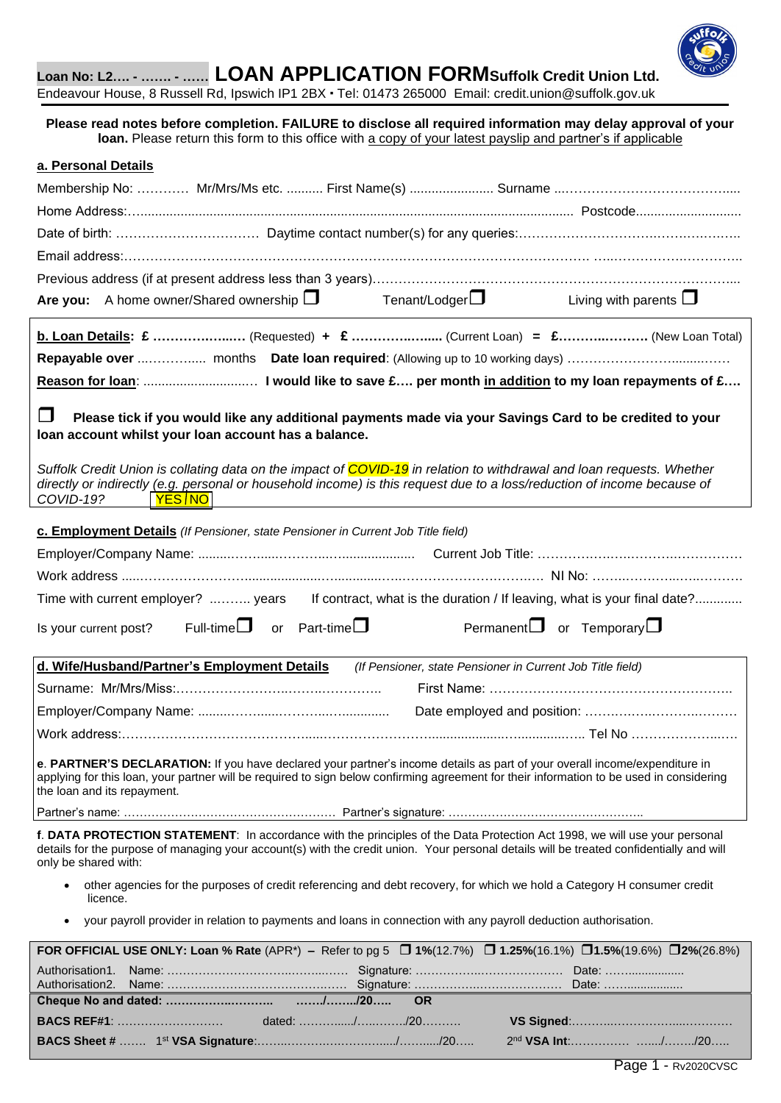

**Loan No: L2…. - ……. - …… LOAN APPLICATION FORMSuffolk Credit Union Ltd.** 

Endeavour House, 8 Russell Rd, Ipswich IP1 2BX · Tel: 01473 265000 Email: [credit.union@suffolk.gov.uk](mailto:credit.union@suffolk.gov.uk)

**Please read notes before completion. FAILURE to disclose all required information may delay approval of your loan.** Please return this form to this office with a copy of your latest payslip and partner's if applicable

| a. Personal Details                                                                                                                                                                                                                                                                                   |                                                                                                                                                                                                                                                                                                                                                                                                                                               |                        |                                                            |  |                                            |  |  |
|-------------------------------------------------------------------------------------------------------------------------------------------------------------------------------------------------------------------------------------------------------------------------------------------------------|-----------------------------------------------------------------------------------------------------------------------------------------------------------------------------------------------------------------------------------------------------------------------------------------------------------------------------------------------------------------------------------------------------------------------------------------------|------------------------|------------------------------------------------------------|--|--------------------------------------------|--|--|
|                                                                                                                                                                                                                                                                                                       |                                                                                                                                                                                                                                                                                                                                                                                                                                               |                        |                                                            |  |                                            |  |  |
|                                                                                                                                                                                                                                                                                                       |                                                                                                                                                                                                                                                                                                                                                                                                                                               |                        |                                                            |  |                                            |  |  |
|                                                                                                                                                                                                                                                                                                       |                                                                                                                                                                                                                                                                                                                                                                                                                                               |                        |                                                            |  |                                            |  |  |
|                                                                                                                                                                                                                                                                                                       |                                                                                                                                                                                                                                                                                                                                                                                                                                               |                        |                                                            |  |                                            |  |  |
|                                                                                                                                                                                                                                                                                                       |                                                                                                                                                                                                                                                                                                                                                                                                                                               |                        |                                                            |  |                                            |  |  |
|                                                                                                                                                                                                                                                                                                       | Are you: A home owner/Shared ownership $\square$ Tenant/Lodger $\square$ Living with parents $\square$                                                                                                                                                                                                                                                                                                                                        |                        |                                                            |  |                                            |  |  |
|                                                                                                                                                                                                                                                                                                       | <b>b. Loan Details: £</b> (Requested) + $\mathbf{E}$ (Current Loan) = $\mathbf{E}$ (New Loan Total)                                                                                                                                                                                                                                                                                                                                           |                        |                                                            |  |                                            |  |  |
|                                                                                                                                                                                                                                                                                                       |                                                                                                                                                                                                                                                                                                                                                                                                                                               |                        |                                                            |  |                                            |  |  |
|                                                                                                                                                                                                                                                                                                       |                                                                                                                                                                                                                                                                                                                                                                                                                                               |                        |                                                            |  |                                            |  |  |
| ∣  <br>COVID-19?                                                                                                                                                                                                                                                                                      | Please tick if you would like any additional payments made via your Savings Card to be credited to your<br>loan account whilst your loan account has a balance.<br>Suffolk Credit Union is collating data on the impact of COVID-19 in relation to withdrawal and loan requests. Whether<br>directly or indirectly (e.g. personal or household income) is this request due to a loss/reduction of income because of<br><u>  YES<i> </i>NO</u> |                        |                                                            |  |                                            |  |  |
|                                                                                                                                                                                                                                                                                                       | c. Employment Details (If Pensioner, state Pensioner in Current Job Title field)                                                                                                                                                                                                                                                                                                                                                              |                        |                                                            |  |                                            |  |  |
|                                                                                                                                                                                                                                                                                                       |                                                                                                                                                                                                                                                                                                                                                                                                                                               |                        |                                                            |  |                                            |  |  |
|                                                                                                                                                                                                                                                                                                       |                                                                                                                                                                                                                                                                                                                                                                                                                                               |                        |                                                            |  |                                            |  |  |
|                                                                                                                                                                                                                                                                                                       | Time with current employer?  years If contract, what is the duration / If leaving, what is your final date?                                                                                                                                                                                                                                                                                                                                   |                        |                                                            |  |                                            |  |  |
|                                                                                                                                                                                                                                                                                                       | Is your current post? Full-time $\Box$                                                                                                                                                                                                                                                                                                                                                                                                        | or Part-time $\square$ |                                                            |  | Permanent $\square$ or Temporary $\square$ |  |  |
|                                                                                                                                                                                                                                                                                                       | d. Wife/Husband/Partner's Employment Details                                                                                                                                                                                                                                                                                                                                                                                                  |                        | (If Pensioner, state Pensioner in Current Job Title field) |  |                                            |  |  |
|                                                                                                                                                                                                                                                                                                       |                                                                                                                                                                                                                                                                                                                                                                                                                                               |                        |                                                            |  |                                            |  |  |
|                                                                                                                                                                                                                                                                                                       |                                                                                                                                                                                                                                                                                                                                                                                                                                               |                        |                                                            |  |                                            |  |  |
|                                                                                                                                                                                                                                                                                                       |                                                                                                                                                                                                                                                                                                                                                                                                                                               |                        |                                                            |  |                                            |  |  |
| e. PARTNER'S DECLARATION: If you have declared your partner's income details as part of your overall income/expenditure in<br>applying for this loan, your partner will be required to sign below confirming agreement for their information to be used in considering<br>the loan and its repayment. |                                                                                                                                                                                                                                                                                                                                                                                                                                               |                        |                                                            |  |                                            |  |  |
|                                                                                                                                                                                                                                                                                                       |                                                                                                                                                                                                                                                                                                                                                                                                                                               |                        |                                                            |  |                                            |  |  |
| only be shared with:                                                                                                                                                                                                                                                                                  | f. DATA PROTECTION STATEMENT: In accordance with the principles of the Data Protection Act 1998, we will use your personal<br>details for the purpose of managing your account(s) with the credit union. Your personal details will be treated confidentially and will                                                                                                                                                                        |                        |                                                            |  |                                            |  |  |
| ٠<br>licence.                                                                                                                                                                                                                                                                                         | other agencies for the purposes of credit referencing and debt recovery, for which we hold a Category H consumer credit<br>your payroll provider in relation to payments and loans in connection with any payroll deduction authorisation.                                                                                                                                                                                                    |                        |                                                            |  |                                            |  |  |
| FOR OFFICIAL USE ONLY: Loan % Rate (APR*) – Refer to pg 5 $\Box$ 1%(12.7%) $\Box$ 1.25%(16.1%) $\Box$ 1.5%(19.6%) $\Box$ 2%(26.8%)                                                                                                                                                                    |                                                                                                                                                                                                                                                                                                                                                                                                                                               |                        |                                                            |  |                                            |  |  |
|                                                                                                                                                                                                                                                                                                       |                                                                                                                                                                                                                                                                                                                                                                                                                                               |                        |                                                            |  |                                            |  |  |
| Authorisation1.<br>Authorisation2.                                                                                                                                                                                                                                                                    |                                                                                                                                                                                                                                                                                                                                                                                                                                               |                        |                                                            |  |                                            |  |  |
|                                                                                                                                                                                                                                                                                                       |                                                                                                                                                                                                                                                                                                                                                                                                                                               |                        | <b>OR</b>                                                  |  |                                            |  |  |
|                                                                                                                                                                                                                                                                                                       |                                                                                                                                                                                                                                                                                                                                                                                                                                               |                        |                                                            |  |                                            |  |  |

**BACS Sheet #** ……. 1 st **VSA Signature**:……..……….….…….…...../……...../20….. 2

nd **VSA Int**:…………… …..../……../20…..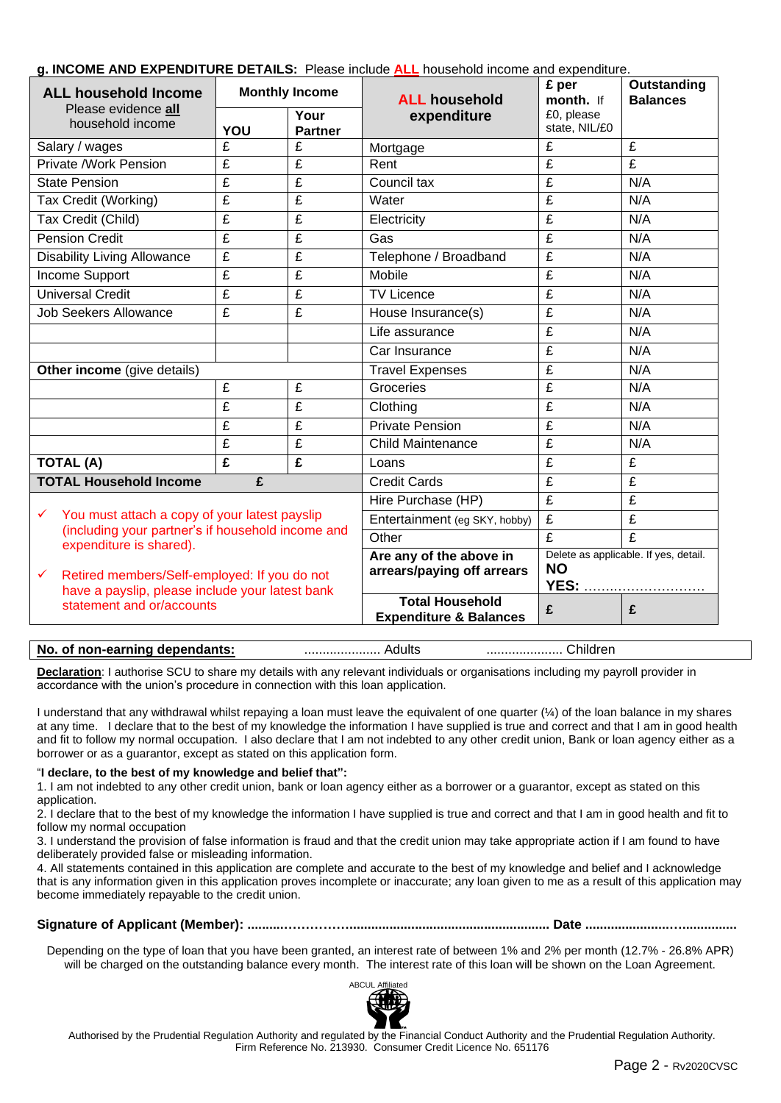## **g. INCOME AND EXPENDITURE DETAILS:** Please include **ALL** household income and expenditure.

| <b>ALL household Income</b>                                                                                     | $\frac{1}{2}$ and $\frac{1}{2}$ and $\frac{1}{2}$ and $\frac{1}{2}$ and $\frac{1}{2}$ and $\frac{1}{2}$ and $\frac{1}{2}$ and $\frac{1}{2}$ and $\frac{1}{2}$ and $\frac{1}{2}$ and $\frac{1}{2}$ and $\frac{1}{2}$ and $\frac{1}{2}$<br><b>Monthly Income</b> |                         | <b>ALL household</b>                                             | £ per<br>month. If          | Outstanding<br><b>Balances</b> |
|-----------------------------------------------------------------------------------------------------------------|----------------------------------------------------------------------------------------------------------------------------------------------------------------------------------------------------------------------------------------------------------------|-------------------------|------------------------------------------------------------------|-----------------------------|--------------------------------|
| Please evidence all<br>household income                                                                         | YOU                                                                                                                                                                                                                                                            | Your<br><b>Partner</b>  | expenditure                                                      | £0, please<br>state, NIL/£0 |                                |
| Salary / wages                                                                                                  | £                                                                                                                                                                                                                                                              | £                       | Mortgage                                                         | £                           | £                              |
| Private /Work Pension                                                                                           | £                                                                                                                                                                                                                                                              | £                       | Rent                                                             | £                           | $\overline{f}$                 |
| <b>State Pension</b>                                                                                            | £                                                                                                                                                                                                                                                              | $\overline{\mathbf{f}}$ | Council tax                                                      | £                           | N/A                            |
| Tax Credit (Working)                                                                                            | $\overline{\mathbf{f}}$                                                                                                                                                                                                                                        | $\overline{f}$          | Water                                                            | £                           | N/A                            |
| Tax Credit (Child)                                                                                              | $\overline{\mathbf{f}}$                                                                                                                                                                                                                                        | $\overline{\mathbf{f}}$ | Electricity                                                      | $\overline{\mathbf{f}}$     | N/A                            |
| <b>Pension Credit</b>                                                                                           | £                                                                                                                                                                                                                                                              | £                       | Gas                                                              | £                           | N/A                            |
| <b>Disability Living Allowance</b>                                                                              | £                                                                                                                                                                                                                                                              | $\overline{\mathbf{f}}$ | Telephone / Broadband                                            | $\overline{\mathbf{f}}$     | N/A                            |
| Income Support                                                                                                  | £                                                                                                                                                                                                                                                              | £                       | Mobile                                                           | £                           | N/A                            |
| <b>Universal Credit</b><br>£<br>£                                                                               |                                                                                                                                                                                                                                                                |                         | <b>TV Licence</b>                                                | £                           | N/A                            |
| <b>Job Seekers Allowance</b>                                                                                    | £                                                                                                                                                                                                                                                              | £                       | House Insurance(s)                                               | £                           | N/A                            |
|                                                                                                                 |                                                                                                                                                                                                                                                                |                         | Life assurance                                                   | £                           | N/A                            |
|                                                                                                                 |                                                                                                                                                                                                                                                                |                         | Car Insurance                                                    | £                           | N/A                            |
| <b>Other income</b> (give details)                                                                              |                                                                                                                                                                                                                                                                |                         | <b>Travel Expenses</b>                                           | £                           | N/A                            |
|                                                                                                                 | £                                                                                                                                                                                                                                                              | £                       | Groceries                                                        | £                           | N/A                            |
|                                                                                                                 | £                                                                                                                                                                                                                                                              | £                       | Clothing                                                         | $\overline{\mathbf{f}}$     | N/A                            |
|                                                                                                                 | £                                                                                                                                                                                                                                                              | $\overline{\mathbf{f}}$ | <b>Private Pension</b>                                           | $\overline{\mathbf{f}}$     | N/A                            |
|                                                                                                                 | £                                                                                                                                                                                                                                                              | £                       | <b>Child Maintenance</b>                                         | £                           | N/A                            |
| <b>TOTAL (A)</b>                                                                                                | £                                                                                                                                                                                                                                                              | $\overline{\mathbf{f}}$ | Loans                                                            | $\overline{\mathbf{f}}$     | $\overline{f}$                 |
| <b>TOTAL Household Income</b>                                                                                   | £                                                                                                                                                                                                                                                              |                         | <b>Credit Cards</b>                                              | £                           | £                              |
|                                                                                                                 |                                                                                                                                                                                                                                                                |                         | Hire Purchase (HP)                                               | $\overline{\mathbf{f}}$     | $\overline{\mathbf{f}}$        |
| You must attach a copy of your latest payslip<br>$\checkmark$                                                   |                                                                                                                                                                                                                                                                |                         | Entertainment (eg SKY, hobby)                                    | £                           | £                              |
| (including your partner's if household income and<br>expenditure is shared).                                    |                                                                                                                                                                                                                                                                |                         | Other                                                            | £                           | £                              |
|                                                                                                                 |                                                                                                                                                                                                                                                                |                         | Delete as applicable. If yes, detail.<br>Are any of the above in |                             |                                |
| Retired members/Self-employed: If you do not<br>$\checkmark$<br>have a payslip, please include your latest bank |                                                                                                                                                                                                                                                                |                         | arrears/paying off arrears                                       | <b>NO</b>                   | <b>YES:</b>                    |
| statement and or/accounts                                                                                       |                                                                                                                                                                                                                                                                |                         | <b>Total Household</b><br><b>Expenditure &amp; Balances</b>      | £                           | £                              |

#### **No. of non-earning dependants:** ..................... Adults ..................... Children

**Declaration**: I authorise SCU to share my details with any relevant individuals or organisations including my payroll provider in accordance with the union's procedure in connection with this loan application.

I understand that any withdrawal whilst repaying a loan must leave the equivalent of one quarter (¼) of the loan balance in my shares at any time. I declare that to the best of my knowledge the information I have supplied is true and correct and that I am in good health and fit to follow my normal occupation. I also declare that I am not indebted to any other credit union, Bank or loan agency either as a borrower or as a guarantor, except as stated on this application form.

#### "**I declare, to the best of my knowledge and belief that":**

1. I am not indebted to any other credit union, bank or loan agency either as a borrower or a guarantor, except as stated on this application.

2. I declare that to the best of my knowledge the information I have supplied is true and correct and that I am in good health and fit to follow my normal occupation

3. I understand the provision of false information is fraud and that the credit union may take appropriate action if I am found to have deliberately provided false or misleading information.

4. All statements contained in this application are complete and accurate to the best of my knowledge and belief and I acknowledge that is any information given in this application proves incomplete or inaccurate; any loan given to me as a result of this application may become immediately repayable to the credit union.

#### **Signature of Applicant (Member): ..........……………....................................................... Date .......................…...............**

Depending on the type of loan that you have been granted, an interest rate of between 1% and 2% per month (12.7% - 26.8% APR) will be charged on the outstanding balance every month. The interest rate of this loan will be shown on the Loan Agreement.



 Authorised by the Prudential Regulation Authority and regulated by the Financial Conduct Authority and the Prudential Regulation Authority. Firm Reference No. 213930. Consumer Credit Licence No. 651176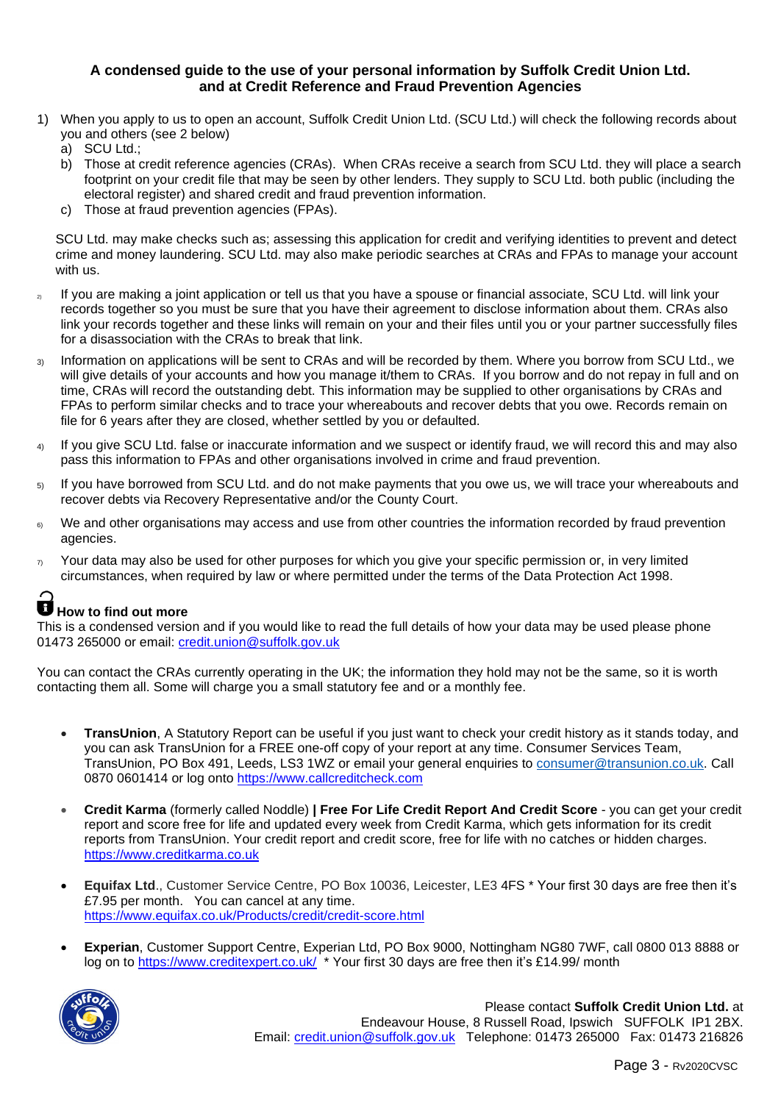### **A condensed guide to the use of your personal information by Suffolk Credit Union Ltd. and at Credit Reference and Fraud Prevention Agencies**

- 1) When you apply to us to open an account, Suffolk Credit Union Ltd. (SCU Ltd.) will check the following records about you and others (see 2 below)
	- a) SCU Ltd.;
	- b) Those at credit reference agencies (CRAs). When CRAs receive a search from SCU Ltd. they will place a search footprint on your credit file that may be seen by other lenders. They supply to SCU Ltd. both public (including the electoral register) and shared credit and fraud prevention information.
	- c) Those at fraud prevention agencies (FPAs).

SCU Ltd. may make checks such as; assessing this application for credit and verifying identities to prevent and detect crime and money laundering. SCU Ltd. may also make periodic searches at CRAs and FPAs to manage your account with us.

- <sub>2</sub> If you are making a joint application or tell us that you have a spouse or financial associate, SCU Ltd. will link your records together so you must be sure that you have their agreement to disclose information about them. CRAs also link your records together and these links will remain on your and their files until you or your partner successfully files for a disassociation with the CRAs to break that link.
- 3) Information on applications will be sent to CRAs and will be recorded by them. Where you borrow from SCU Ltd., we will give details of your accounts and how you manage it/them to CRAs. If you borrow and do not repay in full and on time, CRAs will record the outstanding debt. This information may be supplied to other organisations by CRAs and FPAs to perform similar checks and to trace your whereabouts and recover debts that you owe. Records remain on file for 6 years after they are closed, whether settled by you or defaulted.
- 4) If you give SCU Ltd. false or inaccurate information and we suspect or identify fraud, we will record this and may also pass this information to FPAs and other organisations involved in crime and fraud prevention.
- 5) If you have borrowed from SCU Ltd. and do not make payments that you owe us, we will trace your whereabouts and recover debts via Recovery Representative and/or the County Court.
- 6) We and other organisations may access and use from other countries the information recorded by fraud prevention agencies.
- $\eta$  Your data may also be used for other purposes for which you give your specific permission or, in very limited circumstances, when required by law or where permitted under the terms of the Data Protection Act 1998.

# **How to find out more**

This is a condensed version and if you would like to read the full details of how your data may be used please phone 01473 265000 or email: [credit.union@suffolk.gov.uk](mailto:credit.union@suffolk.gov.uk)

You can contact the CRAs currently operating in the UK; the information they hold may not be the same, so it is worth contacting them all. Some will charge you a small statutory fee and or a monthly fee.

- **TransUnion**, A Statutory Report can be useful if you just want to check your credit history as it stands today, and you can ask TransUnion for a FREE one-off copy of your report at any time. Consumer Services Team, TransUnion, PO Box 491, Leeds, LS3 1WZ or email your general enquiries to [consumer@transunion.co.uk.](mailto:consumer@transunion.co.uk) Call 0870 0601414 or log onto [https://www.callcreditcheck.com](https://www.callcreditcheck.com/)
- **Credit Karma** (formerly called Noddle) **[| Free For Life Credit Report And Credit Score](https://www.google.co.uk/url?sa=t&rct=j&q=&esrc=s&source=web&cd=1&cad=rja&uact=8&sqi=2&ved=0ahUKEwiOisWS8rjKAhVI7BQKHfgSDxoQFggcMAA&url=https%3A%2F%2Fwww.noddle.co.uk%2F&usg=AFQjCNGEArSlyyv5bwR95G7wpzvJWuJZUQ&bvm=bv.112064104,d.d24)** you can get your credit report and score free for life and updated every week from Credit Karma, which gets information for its credit reports from TransUnion. Your credit report and credit score, free for life with no catches or hidden charges. [https://www.creditkarma.co.uk](https://www.creditkarma.co.uk/)
- **Equifax Ltd**., Customer Service Centre, PO Box 10036, Leicester, LE3 4FS \* Your first 30 days are free then it's £7.95 per month. You can cancel at any time. <https://www.equifax.co.uk/Products/credit/credit-score.html>
- **Experian**, Customer Support Centre, Experian Ltd, PO Box 9000, Nottingham NG80 7WF, call 0800 013 8888 or log on to<https://www.creditexpert.co.uk/>\* Your first 30 days are free then it's £14.99/ month



Please contact **Suffolk Credit Union Ltd.** at Endeavour House, 8 Russell Road, Ipswich SUFFOLK IP1 2BX. Email: [credit.union@suffolk.gov.uk](mailto:credit.union@suffolk.gov.uk) Telephone: 01473 265000 Fax: 01473 216826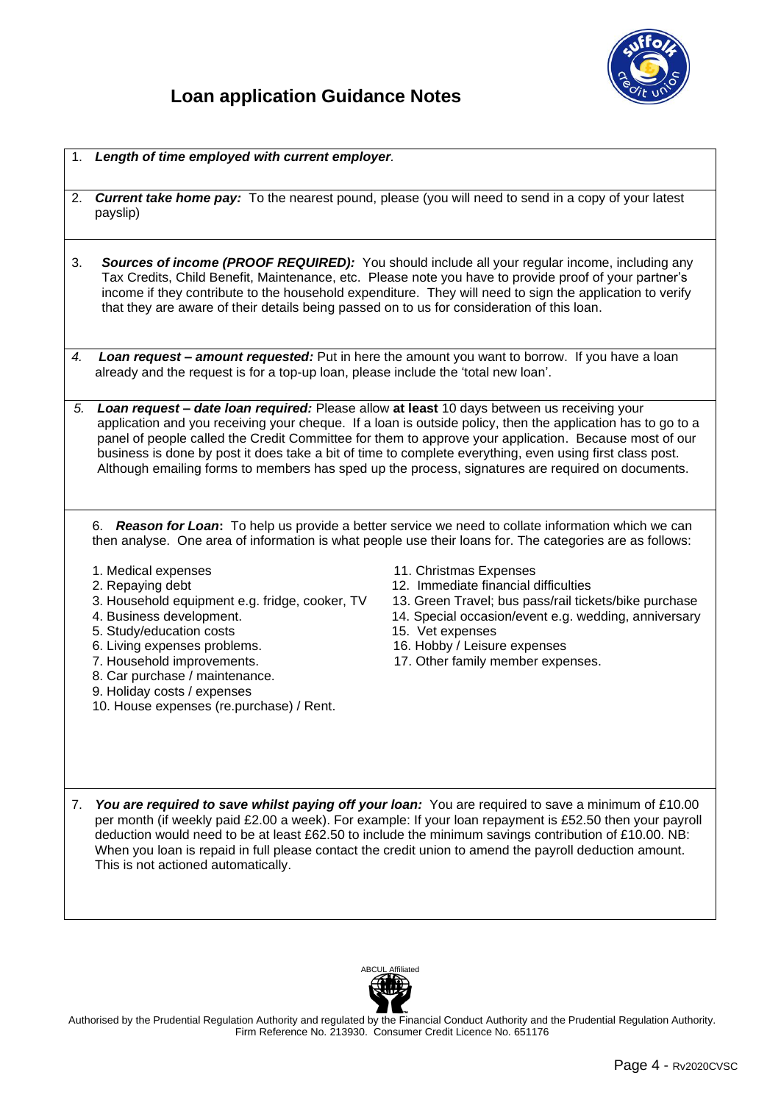

- 1. *Length of time employed with current employer.*
- 2. *Current take home pay:* To the nearest pound, please (you will need to send in a copy of your latest payslip)
- 3. *Sources of income (PROOF REQUIRED):* You should include all your regular income, including any Tax Credits, Child Benefit, Maintenance, etc. Please note you have to provide proof of your partner's income if they contribute to the household expenditure. They will need to sign the application to verify that they are aware of their details being passed on to us for consideration of this loan.
- *4. Loan request – amount requested:* Put in here the amount you want to borrow. If you have a loan already and the request is for a top-up loan, please include the 'total new loan'.
- *5. Loan request – date loan required:* Please allow **at least** 10 days between us receiving your application and you receiving your cheque. If a loan is outside policy, then the application has to go to a panel of people called the Credit Committee for them to approve your application. Because most of our business is done by post it does take a bit of time to complete everything, even using first class post. Although emailing forms to members has sped up the process, signatures are required on documents.

6. *Reason for Loan***:** To help us provide a better service we need to collate information which we can then analyse. One area of information is what people use their loans for. The categories are as follows:

- 
- 
- 
- 
- 5. Study/education costs 15. Vet expenses
- 6. Living expenses problems. 16. Hobby / Leisure expenses
- 
- 8. Car purchase / maintenance.
- 9. Holiday costs / expenses
- 10. House expenses (re.purchase) / Rent.
- 1. Medical expenses 11. Christmas Expenses
- 2. Repaying debt 12. Immediate financial difficulties
- 3. Household equipment e.g. fridge, cooker, TV 13. Green Travel; bus pass/rail tickets/bike purchase
- 4. Business development. 14. Special occasion/event e.g. wedding, anniversary
	-
	-
- 7. Household improvements. 17. Other family member expenses.

7. *You are required to save whilst paying off your loan:* You are required to save a minimum of £10.00 per month (if weekly paid £2.00 a week). For example: If your loan repayment is £52.50 then your payroll deduction would need to be at least £62.50 to include the minimum savings contribution of £10.00. NB: When you loan is repaid in full please contact the credit union to amend the payroll deduction amount. This is not actioned automatically.



Authorised by the Prudential Regulation Authority and regulated by the Financial Conduct Authority and the Prudential Regulation Authority. Firm Reference No. 213930. Consumer Credit Licence No. 651176